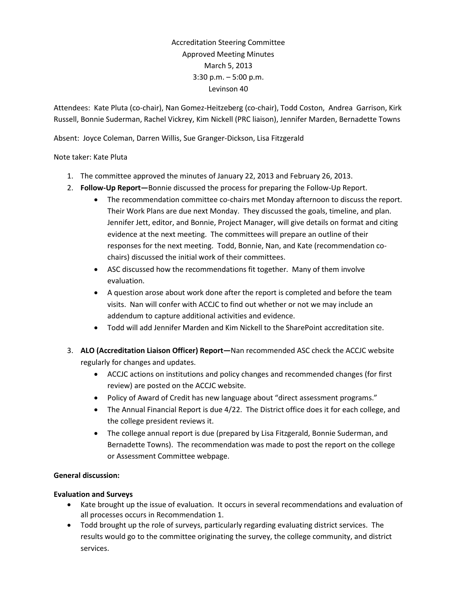Accreditation Steering Committee Approved Meeting Minutes March 5, 2013 3:30 p.m. – 5:00 p.m. Levinson 40

Attendees: Kate Pluta (co-chair), Nan Gomez-Heitzeberg (co-chair), Todd Coston, Andrea Garrison, Kirk Russell, Bonnie Suderman, Rachel Vickrey, Kim Nickell (PRC liaison), Jennifer Marden, Bernadette Towns

Absent: Joyce Coleman, Darren Willis, Sue Granger-Dickson, Lisa Fitzgerald

### Note taker: Kate Pluta

- 1. The committee approved the minutes of January 22, 2013 and February 26, 2013.
- 2. **Follow-Up Report—**Bonnie discussed the process for preparing the Follow-Up Report.
	- The recommendation committee co-chairs met Monday afternoon to discuss the report. Their Work Plans are due next Monday. They discussed the goals, timeline, and plan. Jennifer Jett, editor, and Bonnie, Project Manager, will give details on format and citing evidence at the next meeting. The committees will prepare an outline of their responses for the next meeting. Todd, Bonnie, Nan, and Kate (recommendation cochairs) discussed the initial work of their committees.
	- ASC discussed how the recommendations fit together. Many of them involve evaluation.
	- A question arose about work done after the report is completed and before the team visits. Nan will confer with ACCJC to find out whether or not we may include an addendum to capture additional activities and evidence.
	- Todd will add Jennifer Marden and Kim Nickell to the SharePoint accreditation site.
- 3. **ALO (Accreditation Liaison Officer) Report—**Nan recommended ASC check the ACCJC website regularly for changes and updates.
	- ACCJC actions on institutions and policy changes and recommended changes (for first review) are posted on the ACCJC website.
	- Policy of Award of Credit has new language about "direct assessment programs."
	- The Annual Financial Report is due 4/22. The District office does it for each college, and the college president reviews it.
	- The college annual report is due (prepared by Lisa Fitzgerald, Bonnie Suderman, and Bernadette Towns). The recommendation was made to post the report on the college or Assessment Committee webpage.

# **General discussion:**

### **Evaluation and Surveys**

- Kate brought up the issue of evaluation. It occurs in several recommendations and evaluation of all processes occurs in Recommendation 1.
- Todd brought up the role of surveys, particularly regarding evaluating district services. The results would go to the committee originating the survey, the college community, and district services.